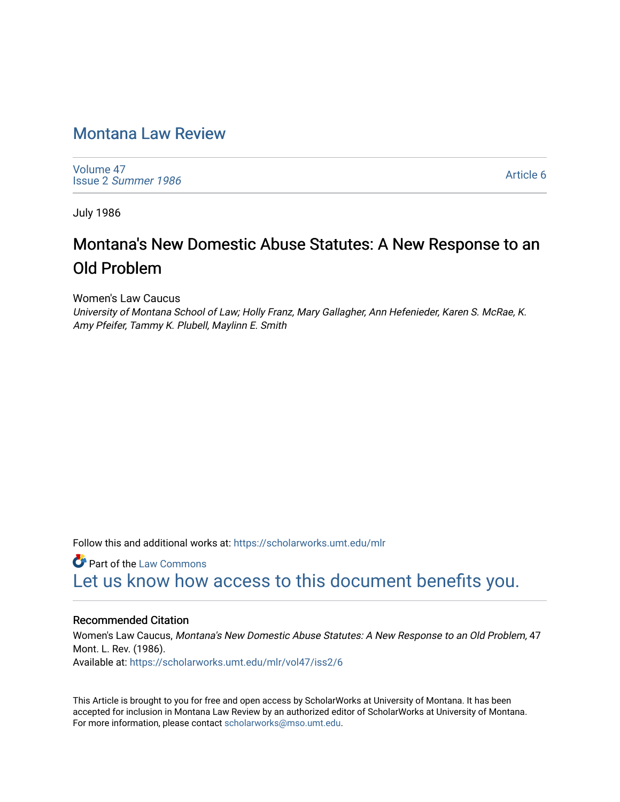## [Montana Law Review](https://scholarworks.umt.edu/mlr)

[Volume 47](https://scholarworks.umt.edu/mlr/vol47) Issue 2 [Summer 1986](https://scholarworks.umt.edu/mlr/vol47/iss2) 

[Article 6](https://scholarworks.umt.edu/mlr/vol47/iss2/6) 

July 1986

# Montana's New Domestic Abuse Statutes: A New Response to an Old Problem

Women's Law Caucus

University of Montana School of Law; Holly Franz, Mary Gallagher, Ann Hefenieder, Karen S. McRae, K. Amy Pfeifer, Tammy K. Plubell, Maylinn E. Smith

Follow this and additional works at: [https://scholarworks.umt.edu/mlr](https://scholarworks.umt.edu/mlr?utm_source=scholarworks.umt.edu%2Fmlr%2Fvol47%2Fiss2%2F6&utm_medium=PDF&utm_campaign=PDFCoverPages) 

**C** Part of the [Law Commons](http://network.bepress.com/hgg/discipline/578?utm_source=scholarworks.umt.edu%2Fmlr%2Fvol47%2Fiss2%2F6&utm_medium=PDF&utm_campaign=PDFCoverPages) [Let us know how access to this document benefits you.](https://goo.gl/forms/s2rGfXOLzz71qgsB2) 

## Recommended Citation

Women's Law Caucus, Montana's New Domestic Abuse Statutes: A New Response to an Old Problem, 47 Mont. L. Rev. (1986). Available at: [https://scholarworks.umt.edu/mlr/vol47/iss2/6](https://scholarworks.umt.edu/mlr/vol47/iss2/6?utm_source=scholarworks.umt.edu%2Fmlr%2Fvol47%2Fiss2%2F6&utm_medium=PDF&utm_campaign=PDFCoverPages) 

This Article is brought to you for free and open access by ScholarWorks at University of Montana. It has been accepted for inclusion in Montana Law Review by an authorized editor of ScholarWorks at University of Montana. For more information, please contact [scholarworks@mso.umt.edu.](mailto:scholarworks@mso.umt.edu)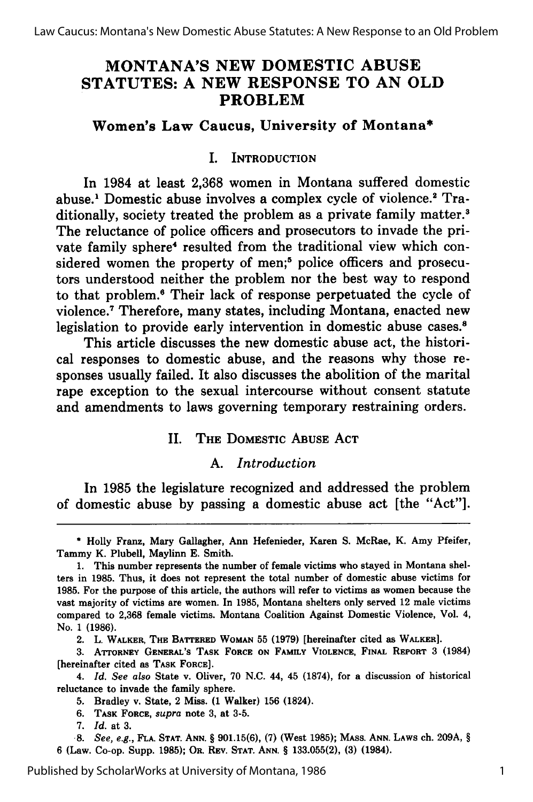## **MONTANA'S NEW DOMESTIC ABUSE STATUTES: A NEW RESPONSE TO AN OLD PROBLEM**

## **Women's Law Caucus, University of Montana\***

## I. INTRODUCTION

In 1984 at least **2,368** women in Montana suffered domestic abuse.1 Domestic abuse involves a complex cycle of violence.2 Traditionally, society treated the problem as a private family matter.<sup>3</sup> The reluctance of police officers and prosecutors to invade the private family sphere<sup>4</sup> resulted from the traditional view which considered women the property of men;<sup>5</sup> police officers and prosecutors understood neither the problem nor the best way to respond to that problem.6 Their lack of response perpetuated the cycle of violence.7 Therefore, many states, including Montana, enacted new legislation to provide early intervention in domestic abuse cases.<sup>8</sup>

This article discusses the new domestic abuse act, the historical responses to domestic abuse, and the reasons why those responses usually failed. It also discusses the abolition of the marital rape exception to the sexual intercourse without consent statute and amendments to laws governing temporary restraining orders.

## II. **THE** DOMESTIC **ABUSE ACT**

## **A.** *Introduction*

In **1985** the legislature recognized and addressed the problem of domestic abuse **by** passing a domestic abuse act [the "Act"].

2. L. **WALKER, THE BATrERED WOMAN 55 (1979)** [hereinafter cited as **WALKER].**

**3. ATrORNEY GENERAL'S** TASK **FORCE ON** FAMILY **VIOLENCE, FINAL REPORT** 3 (1984) [hereinafter cited as **TASK FORCE].**

4. *Id. See also* State v. Oliver, **70 N.C.** 44, 45 **(1874),** for a discussion of historical reluctance to invade the family sphere.

**5.** Bradley v. State, 2 Miss. **(1** Walker) **156** (1824).

**6. TASK FORCE,** *supra* note **3,** at **3-5.**

**7.** *Id.* at **3.**

*.8. See, e.g.,* **FLA. STAT. ANN.** § **901.15(6), (7)** (West **1985); MASS. ANN. LAWS** ch. **209A,** § **6** (Law. Co-op. Supp. **1985);** OR. **REV. STAT. ANN.** § **133.055(2), (3)** (1984).

Published by ScholarWorks at University of Montana, 1986

**<sup>\*</sup>** Holly Franz, Mary Gallagher, Ann Hefenieder, Karen **S.** McRae, K. Amy Pfeifer, Tammy K. Plubell, Maylinn **E.** Smith.

**<sup>1.</sup>** This number represents the number of female victims who stayed in Montana shel**ters** in **1985.** Thus, it does not represent the total number of domestic abuse victims for **1985.** For the purpose of this article, the authors will refer to victims as women because the vast majority of victims are women. In **1985,** Montana shelters only served 12 male victims compared to **2,368** female victims. Montana Coalition Against Domestic Violence, Vol. 4, No. 1 **(1986).**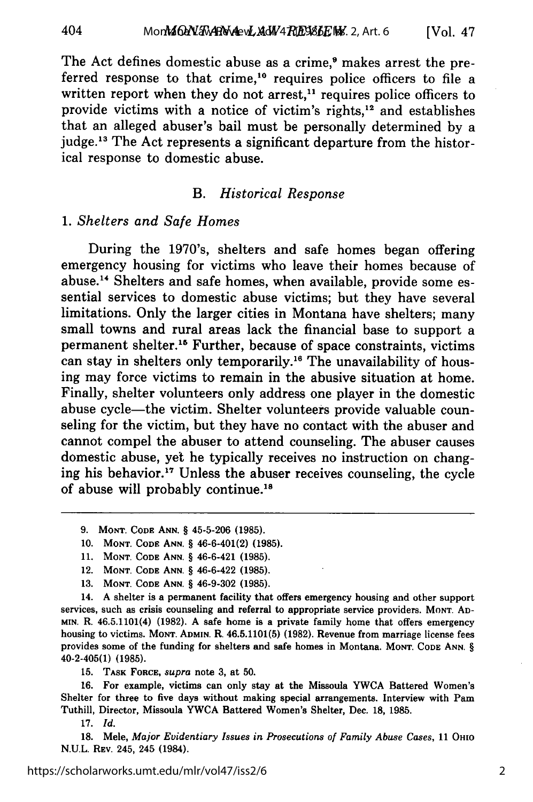The Act defines domestic abuse as a crime,<sup>9</sup> makes arrest the preferred response to that crime,<sup>10</sup> requires police officers to file a written report when they do not arrest,<sup>11</sup> requires police officers to provide victims with a notice of victim's rights,<sup>12</sup> and establishes that an alleged abuser's bail must be personally determined by a judge.<sup>13</sup> The Act represents a significant departure from the historical response to domestic abuse.

#### *B. Historical Response*

#### 1. *Shelters* and Safe *Homes*

During the 1970's, shelters and safe homes began offering emergency housing for victims who leave their homes because of abuse.<sup>14</sup> Shelters and safe homes, when available, provide some essential services to domestic abuse victims; but they have several limitations. Only the larger cities in Montana have shelters; many small towns and rural areas lack the financial base to support a permanent shelter.<sup>16</sup> Further, because of space constraints, victims can stay in shelters only temporarily.<sup>16</sup> The unavailability of housing may force victims to remain in the abusive situation at home. Finally, shelter volunteers only address one player in the domestic abuse cycle-the victim. Shelter volunteers provide valuable counseling for the victim, but they have no contact with the abuser and cannot compel the abuser to attend counseling. The abuser causes domestic abuse, yet he typically receives no instruction on changing his behavior.<sup>17</sup> Unless the abuser receives counseling, the cycle of abuse will probably continue.<sup>18</sup>

- **10. MONT. CODE ANN.** § 46-6-401(2) **(1985).**
- **11. MONT. CODE ANN.** § 46-6-421 **(1985).**
- 12. **MONT. CODE ANN.** § 46-6-422 **(1985).**
- **13. MONT. CODE ANN.** § 46-9-302 **(1985).**

14. **A** shelter is a permanent facility that offers emergency housing and other support services, such as crisis counseling and referral to appropriate service providers. **MONT. AD-MIN.** R. 46.5.1101(4) **(1982). A** safe home is a private family home that offers emergency housing to victims. **MONT. ADMIN.** R. **46.5.1101(5) (1982).** Revenue from marriage license fees provides some of the funding for shelters and safe homes in Montana. **MONT. CODE ANN.** § 40-2-405(1) **(1985).**

**15. TASK FORCE,** *supra* note **3,** at **50.**

**16.** For example, victims can only stay at the Missoula YWCA Battered Women's Shelter for three to five days without making special arrangements. Interview with Pam Tuthill, Director, Missoula YWCA Battered Women's Shelter, Dec. **18, 1985.**

**17.** *Id.*

**18.** Mele, *Major Evidentiary Issues in Prosecutions of Family Abuse Cases,* **<sup>11</sup>**OHIO **N.U.L. REv.** 245, 245 (1984).

**<sup>9.</sup> MONT. CODE ANN.** § **45-5-206 (1985).**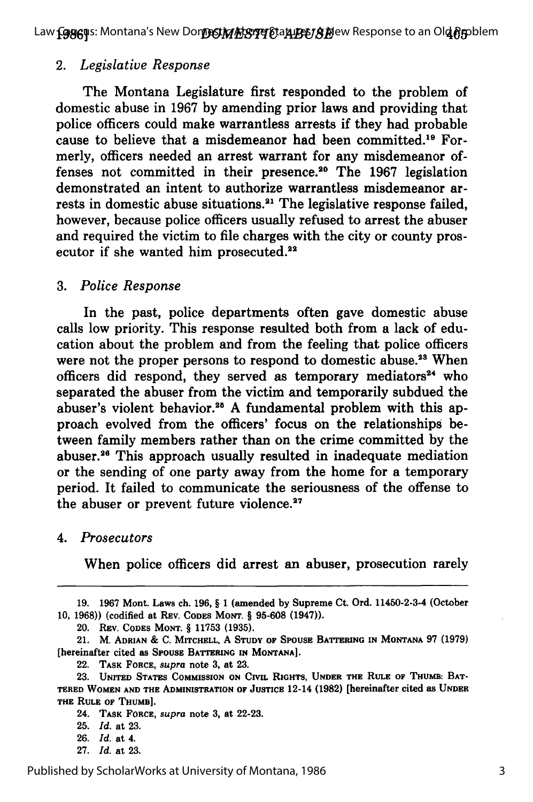Law **[986]**Is: Montana's New Don**DS!MAS!II {**Ta**xLB&/SA**ew Response to an Ol**d {}**pblem

#### *2. Legislative Response*

The Montana Legislature first responded to the problem of domestic abuse in 1967 by amending prior laws and providing that police officers could make warrantless arrests if they had probable cause to believe that a misdemeanor had been committed.<sup>19</sup> Formerly, officers needed an arrest warrant for any misdemeanor offenses not committed in their presence.<sup>20</sup> The 1967 legislation demonstrated an intent to authorize warrantless misdemeanor arrests in domestic abuse situations.<sup>21</sup> The legislative response failed, however, because police officers usually refused to arrest the abuser and required the victim to file charges with the city or county prosecutor if she wanted him prosecuted.<sup>22</sup>

#### *3. Police Response*

In the past, police departments often gave domestic abuse calls low priority. This response resulted both from a lack of education about the problem and from the feeling that police officers were not the proper persons to respond to domestic abuse.<sup>23</sup> When officers did respond, they served as temporary mediators<sup>24</sup> who separated the abuser from the victim and temporarily subdued the abuser's violent behavior.<sup>25</sup> A fundamental problem with this approach evolved from the officers' focus on the relationships between family members rather than on the crime committed **by** the abuser.<sup>26</sup> This approach usually resulted in inadequate mediation or the sending of one party away from the home for a temporary period. It failed to communicate the seriousness of the offense to the abuser or prevent future violence.<sup>27</sup>

#### *4. Prosecutors*

When police officers did arrest an abuser, prosecution rarely

<sup>19. 1967</sup> Mont. Laws ch. 196, § 1 (amended by Supreme Ct. Ord. 11450-2-3-4 (October 10, **1968))** (codified at **REV. CODES MONT.** § **95-608** (1947)).

<sup>20.</sup> **REV. CODES MONT.** § **11753 (1935).**

<sup>21.</sup> M. **ADRIAN & C. MITCHELL, A STUDY OF SPOUSE BATTERING IN MONTANA 97 (1979)** [hereinafter cited **as SPOUSE BATTERING IN MONTANA].**

<sup>22.</sup> **TASK FORCE,** *supra* note **3,** at **23.**

**<sup>23.</sup> UNITED STATES COMMISSION ON CIVIL RIGHTS, UNDER THE RULE OF THUMB: BAT-TERED WOMEN AND THE ADMINISTRATION OF JUSTICE** 12-14 **(1982)** [hereinafter cited as **UNDER THE RULE OF THUMB].**

<sup>24.</sup> **TASK FORCE,** *supra* note **3,** at **22-23.**

**<sup>25.</sup>** *Id.* at **23.**

**<sup>26.</sup>** *Id.* at 4.

**<sup>27.</sup>** *Id.* at **23.**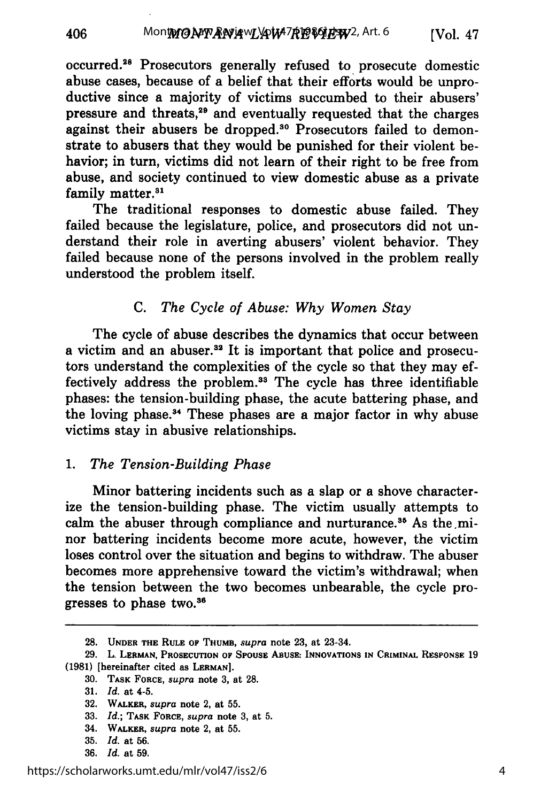occurred.<sup>28</sup> Prosecutors generally refused to prosecute domestic abuse cases, because of a belief that their efforts would be unproductive since a majority of victims succumbed to their abusers' pressure and threats,29 and eventually requested that the charges against their abusers be dropped.<sup>30</sup> Prosecutors failed to demonstrate to abusers that they would be punished for their violent behavior; in turn, victims did not learn of their right to be free from abuse, and society continued to view domestic abuse as a private family matter.<sup>31</sup>

The traditional responses to domestic abuse failed. They failed because the legislature, police, and prosecutors did not understand their role in averting abusers' violent behavior. They failed because none of the persons involved in the problem really understood the problem itself.

## C. *The Cycle of Abuse: Why Women Stay*

The cycle of abuse describes the dynamics that occur between a victim and an abuser.<sup>32</sup> It is important that police and prosecutors understand the complexities of the cycle so that they may effectively address the problem.<sup>33</sup> The cycle has three identifiable phases: the tension-building phase, the acute battering phase, and the loving phase. 4 These phases are a major factor in why abuse victims stay in abusive relationships.

## *1. The Tension-Building Phase*

Minor battering incidents such as a slap or a shove characterize the tension-building phase. The victim usually attempts to calm the abuser through compliance and nurturance.<sup>35</sup> As the minor battering incidents become more acute, however, the victim loses control over the situation and begins to withdraw. The abuser becomes more apprehensive toward the victim's withdrawal; when the tension between the two becomes unbearable, the cycle progresses to phase two.3

**<sup>28.</sup> UNDER THE RULE OF THUMB,** *supra* **note** 23, at 23-34.

**<sup>29.</sup>** L. **LERMAN, PROSECUTION OF SPOUSE ABUSE: INNOVATIONS IN CRIMINAL RESPONSE 19 (1981)** [hereinafter cited as **LERMAN].**

**<sup>30.</sup> TASK FORCE,** *supra* note **3,** at **28.**

**<sup>31.</sup>** *Id.* **at** 4-5.

**<sup>32.</sup>** WALKER, *supra* **note** 2, at **55.**

**<sup>33.</sup>** *Id.;* **TASK FORCE,** *supra* **note 3,** at **5.**

<sup>34.</sup> WALKER, supra **note** 2, at **55.**

**<sup>35.</sup>** *Id.* **at 56.**

**<sup>36.</sup>** *Id.* **at 59.**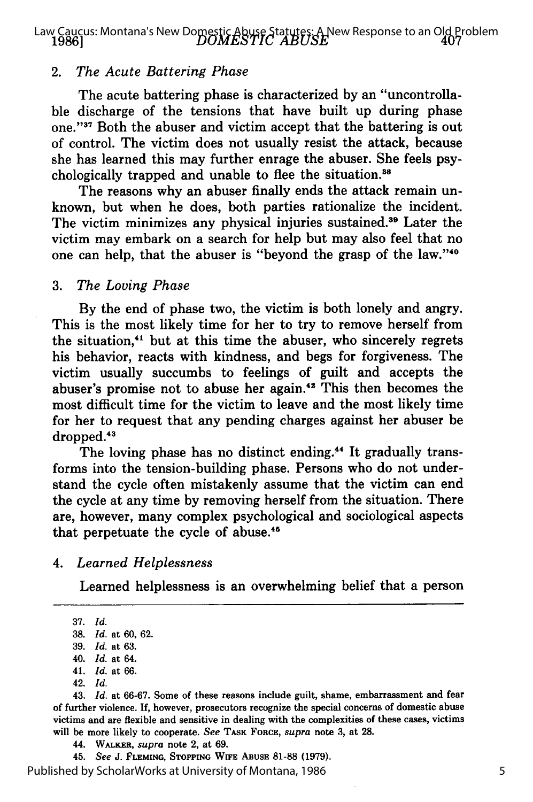*DOMESTIC ABUSE* Law Caucus: Montana's New Domestic Abuse Statutes: A New Response to an Old Problem **1986]**

#### 2. *The Acute Battering Phase*

The acute battering phase is characterized by an "uncontrollable discharge of the tensions that have built up during phase one." 37 Both the abuser and victim accept that the battering is out of control. The victim does not usually resist the attack, because she has learned this may further enrage the abuser. She feels psychologically trapped and unable to flee the situation.<sup>38</sup>

The reasons why an abuser finally ends the attack remain unknown, but when he does, both parties rationalize the incident. The victim minimizes any physical injuries sustained.<sup>39</sup> Later the victim may embark on a search for help but may also feel that no one can help, that the abuser is "beyond the grasp of the law."<sup>40</sup>

#### 3. *The Loving Phase*

By the end of phase two, the victim is both lonely and angry. This is the most likely time for her to try to remove herself from the situation," but at this time the abuser, who sincerely regrets his behavior, reacts with kindness, and begs for forgiveness. The victim usually succumbs to feelings of guilt and accepts the abuser's promise not to abuse her again.'2 This then becomes the most difficult time for the victim to leave and the most likely time for her to request that any pending charges against her abuser be dropped.<sup>43</sup>

The loving phase has no distinct ending.<sup>44</sup> It gradually transforms into the tension-building phase. Persons who do not understand the cycle often mistakenly assume that the victim can end the cycle at any time by removing herself from the situation. There are, however, many complex psychological and sociological aspects that perpetuate the cycle of abuse.<sup>45</sup>

#### *4. Learned Helplessness*

Learned helplessness is an overwhelming belief that a person

43. *Id.* at 66-67. Some of these reasons include guilt, shame, embarrassment and fear of further violence. If, however, prosecutors recognize the special concerns of domestic abuse victims and are flexible and sensitive in dealing with the complexities of these cases, victims will be more likely to cooperate. *See* **TASK** FORCE, *supra* note 3, at 28.

45. *See* **J. FLEMING, STOPPING WIFE ABUSE** 81-88 (1979).

Published by ScholarWorks at University of Montana, 1986

<sup>37.</sup> *Id.*

<sup>38.</sup> *Id.* at 60, 62.

<sup>39.</sup> *Id.* at 63.

<sup>40.</sup> *Id.* at 64.

<sup>41.</sup> *Id.* at 66.

<sup>42.</sup> *Id.*

<sup>44.</sup> **WALKER,** *supra* note 2, at 69.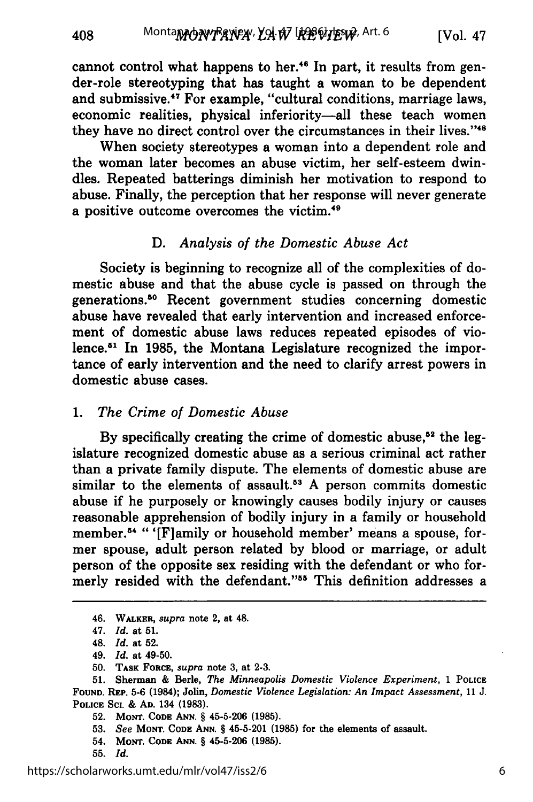cannot control what happens to her.<sup>46</sup> In part, it results from gender-role stereotyping that has taught a woman to be dependent and submissive.47 For example, "cultural conditions, marriage laws, economic realities, physical inferiority-all these teach women they have no direct control over the circumstances in their lives."<sup>48</sup>

When society stereotypes a woman into a dependent role and the woman later becomes an abuse victim, her self-esteem dwindles. Repeated batterings diminish her motivation to respond to abuse. Finally, the perception that her response will never generate a positive outcome overcomes the victim.<sup>49</sup>

## *D. Analysis of the Domestic Abuse Act*

Society is beginning to recognize all of the complexities of domestic abuse and that the abuse cycle is passed on through the generations."0 Recent government studies concerning domestic abuse have revealed that early intervention and increased enforcement of domestic abuse laws reduces repeated episodes of violence.51 In 1985, the Montana Legislature recognized the importance of early intervention and the need to clarify arrest powers in domestic abuse cases.

## *1. The Crime of Domestic Abuse*

By specifically creating the crime of domestic abuse,<sup>52</sup> the legislature recognized domestic abuse as a serious criminal act rather than a private family dispute. The elements of domestic abuse are similar to the elements of assault.<sup>53</sup> A person commits domestic abuse if he purposely or knowingly causes bodily injury or causes reasonable apprehension of bodily injury in a family or household member.<sup>54</sup> "'[F]amily or household member' means a spouse, former spouse, adult person related by blood or marriage, or adult person of the opposite sex residing with the defendant or who formerly resided with the defendant."55 This definition addresses a

<sup>46.</sup> **WALKER,** *supra* note 2, at 48.

<sup>47.</sup> *Id.* at **51.**

<sup>48.</sup> *Id.* at **52.**

<sup>49.</sup> *Id.* at 49-50.

**<sup>50.</sup> TASK** FORCE, *supra* note **3,** at **2-3.**

**<sup>51.</sup>** Sherman **&** Berle, *The Minneapolis Domestic Violence Experiment,* **1 POLICE FOUND.** REP. 5-6 (1984); Jolin, *Domestic Violence Legislation: An Impact Assessment, 11 J.* **POLICE SCL & AD. 134 (1983).**

**<sup>52.</sup> MONT. CODE ANN.** § **45-5-206 (1985).**

**<sup>53.</sup>** *See* **MONT. CODE ANN.** § 45-5-201 **(1985) for the elements of assault.**

<sup>54.</sup> **MONT. CODE ANN.** § **45-5-206 (1985).**

**<sup>55.</sup>** *Id.*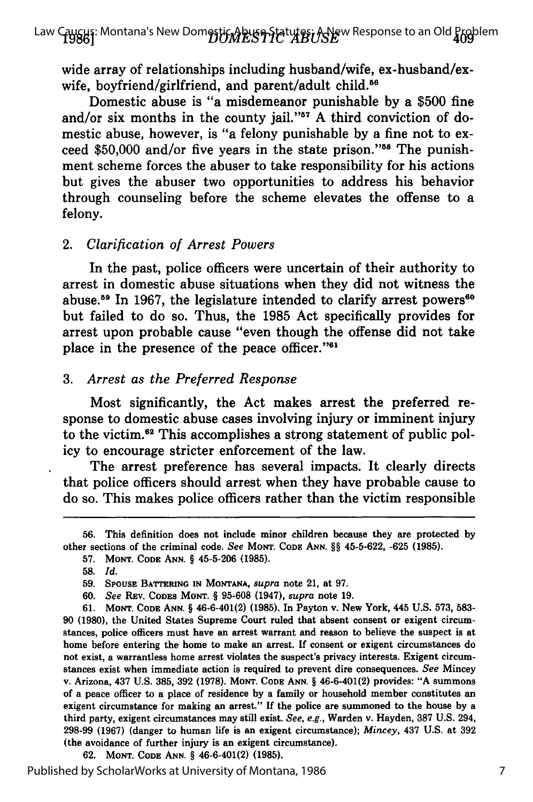Law Caucus: Montana's New Dom<del>estic Abuse Sta</del>tutes: A New Response to an Old Problem<br>**1986**]

wide array of relationships including husband/wife, ex-husband/exwife, boyfriend/girlfriend, and parent/adult child.<sup>56</sup>

Domestic abuse is **"a** misdemeanor punishable **by** a **\$500** fine and/or six months in the county jail."<sup>57</sup> A third conviction of domestic abuse, however, is "a felony punishable **by** a fine not to exceed **\$50,000** and/or five years in the state prison."58 The punishment scheme forces the abuser to take responsibility for his actions but gives the abuser two opportunities to address his behavior through counseling before the scheme elevates the offense to a felony.

#### *2. Clarification of Arrest Powers*

In the past, police officers were uncertain of their authority to arrest in domestic abuse situations when they did not witness the abuse.<sup>59</sup> In 1967, the legislature intended to clarify arrest powers<sup>60</sup> but failed to do so. Thus, the **1985** Act specifically provides for arrest upon probable cause "even though the offense did not take place in the presence of the peace officer."61

#### *3. Arrest as the Preferred Response*

Most significantly, the Act makes arrest the preferred response to domestic abuse cases involving injury or imminent injury to the victim.62 This accomplishes a strong statement of public policy to encourage stricter enforcement of the law.

The arrest preference has several impacts. It clearly directs that police officers should arrest when they have probable cause to do so. This makes police officers rather than the victim responsible

**62. MONT. CODE ANN.** *§* 46-6-401(2) **(1985).**

**<sup>56.</sup>** This definition does not include minor children because they are protected **by** other sections of the criminal code. *See* MONT. **CODE ANN. §§ 45-5-622, -625 (1985).**

**<sup>57.</sup> MONT. CODE ANN. § 45-5-206 (1985).**

**<sup>58.</sup>** *Id.*

**<sup>59.</sup> SPOUSE BATTERING IN MONTANA,** *supra* note 21, at **97.**

**<sup>60.</sup>** *See* **REv. CODES MONT. § 95-608** (1947), *supra* note **19.**

**<sup>61.</sup> MONT. CODE ANN. §** 46-6-401(2) **(1985).** In Payton v. New York, 445 **U.S. 573, 583- 90 (1980),** the United States Supreme Court ruled that absent consent or exigent circumstances, police officers must have an arrest warrant and reason to believe the suspect is at home before entering the home to make an arrest. **If** consent or exigent circumstances do not exist, a warrantless home arrest violates the suspect's privacy interests. Exigent circumstances exist when immediate action is required to prevent dire consequences. *See* Mincey v. Arizona, 437 **U.S. 385, 392 (1978).** MONT. **CODE ANN. §** 46-6-401(2) provides: **"A** summons of a peace officer to a place of residence **by** a family or household member constitutes an exigent circumstance for making an arrest." If the police are summoned to the house **by** a third party, exigent circumstances may still exist. *See, e.g.,* Warden v. Hayden, **387 U.S.** 294, **298-99 (1967)** (danger to human life is an exigent circumstance); *Mincey,* 437 **U.S.** at **392** (the avoidance of further injury is an exigent circumstance).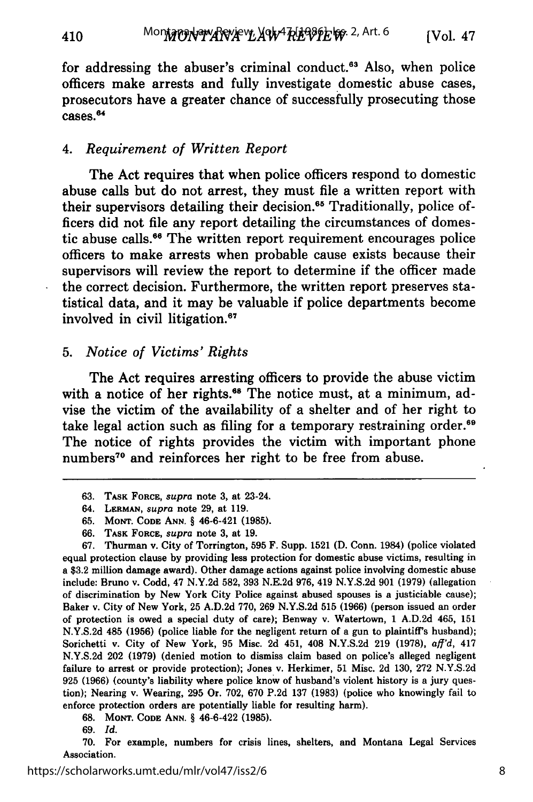for addressing the abuser's criminal conduct.<sup>63</sup> Also, when police officers make arrests and fully investigate domestic abuse cases, prosecutors have a greater chance of successfully prosecuting those .<br>cases.<sup>6</sup>

#### *4. Requirement of Written Report*

410

The Act requires that when police officers respond to domestic abuse calls but do not arrest, they must file a written report with their supervisors detailing their decision.<sup>65</sup> Traditionally, police officers did not file any report detailing the circumstances of domestic abuse calls.<sup>66</sup> The written report requirement encourages police officers to make arrests when probable cause exists because their supervisors will review the report to determine if the officer made the correct decision. Furthermore, the written report preserves statistical data, and it may be valuable if police departments become involved in civil litigation.<sup>67</sup>

#### *5. Notice of Victims' Rights*

The Act requires arresting officers to provide the abuse victim with a notice of her rights.<sup>68</sup> The notice must, at a minimum, advise the victim of the availability of a shelter and of her right to take legal action such as filing for a temporary restraining order.<sup>69</sup> The notice of rights provides the victim with important phone numbers<sup>70</sup> and reinforces her right to be free from abuse.

- **63. TASK** FORCE, *supra* **note 3,** at 23-24.
- 64. LERMAN, *supra* note **29,** at 119.
- **65. MONT. CODE ANN.** § **46-6-421 (1985).**
- **66.** TASK **FORCE,** *supra* note **3,** at **19.**

**67.** Thurman v. City of Torrington, **595** F. Supp. **1521 (D.** Conn. 1984) (police violated equal protection clause by providing less protection for domestic abuse victims, resulting in a \$3.2 million damage award). Other damage actions against police involving domestic abuse include: Bruno v. Codd, 47 N.Y.2d **582, 393** N.E.2d **976,** 419 N.Y.S.2d **901 (1979)** (allegation of discrimination by New York City Police against abused spouses is a justiciable cause); Baker v. City of New York, **25** A.D.2d 770, **269** N.Y.S.2d **515 (1966)** (person issued an order of protection is owed a special duty of care); Benway v. Watertown, 1 A.D.2d 465, **151** N.Y.S.2d 485 **(1956)** (police liable for the negligent return of a gun to plaintiff's husband); Sorichetti v. City of New York, **95** Misc. **2d** 451, 408 N.Y.S.2d **219 (1978),** *aff'd,* 417 N.Y.S.2d 202 **(1979)** (denied motion to dismiss claim based on police's alleged negligent failure to arrest or provide protection); Jones v. Herkimer, **51** Misc. **2d** 130, **272** N.Y.S.2d **925 (1966)** (county's liability where police know of husband's violent history is a jury question); Nearing v. Wearing, **295** Or. 702, **670** P.2d **137 (1983)** (police who knowingly fail to enforce protection orders are potentially liable for resulting harm).

**68. MONT. CODE ANN. §** 46-6-422 **(1985).**

70. For example, numbers for crisis lines, shelters, and Montana Legal Services Association.

**<sup>69.</sup>** *Id.*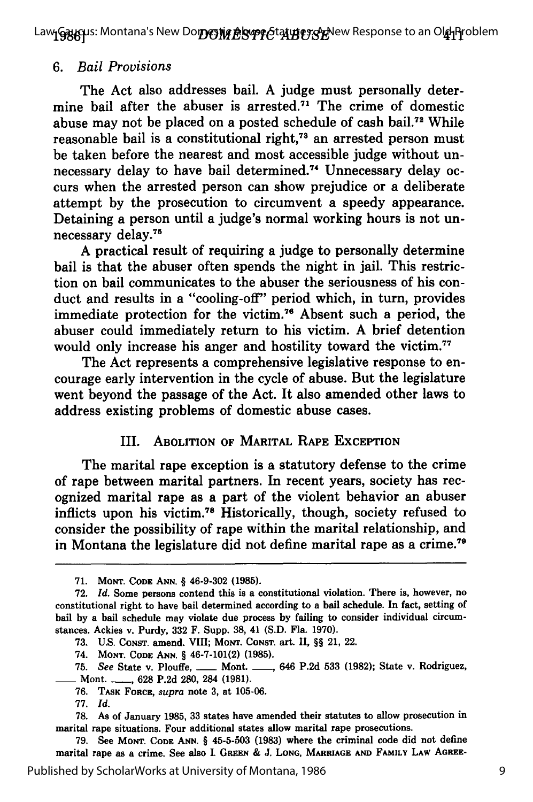Law**լGany**us: Montana's New Do**றரூழ் AbyperGtalyEerSyr**New Response to an O**ld** Problem

#### *6. Bail Provisions*

The Act also addresses bail. A judge must personally determine bail after the abuser is arrested.<sup>71</sup> The crime of domestic abuse may not be placed on a posted schedule of cash bail.72 While reasonable bail is a constitutional right,<sup>73</sup> an arrested person must be taken before the nearest and most accessible judge without unnecessary delay to have bail determined.<sup>74</sup> Unnecessary delay occurs when the arrested person can show prejudice or a deliberate attempt by the prosecution to circumvent a speedy appearance. Detaining a person until a judge's normal working hours is not unnecessary delay.7

A practical result of requiring a judge to personally determine bail is that the abuser often spends the night in jail. This restriction on bail communicates to the abuser the seriousness of his conduct and results in a "cooling-off" period which, in turn, provides immediate protection for the victim. 76 Absent such a period, the abuser could immediately return to his victim. A brief detention would only increase his anger and hostility toward the victim.<sup>7</sup>

The Act represents a comprehensive legislative response to encourage early intervention in the cycle of abuse. But the legislature went beyond the passage of the Act. It also amended other laws to address existing problems of domestic abuse cases.

#### III. ABOLITION OF MARITAL RAPE EXCEPTION

The marital rape exception is a statutory defense to the crime of rape between marital partners. In recent years, society has recognized marital rape as a part of the violent behavior an abuser inflicts upon his victim. 78 Historically, though, society refused to consider the possibility of rape within the marital relationship, and in Montana the legislature did not define marital rape as a crime.79

74. **MONT. CODE ANN.** *§* 46-7-101(2) **(1985).**

**77.** *Id.*

**79.** See **MONT. CODE ANN.** *§* **45-5-503 (1983)** where the criminal code did not define marital rape as a crime. See also **1. GREEN & J. LONG, MARRIAGE AND FAMILY LAW AGREE-**

Published by ScholarWorks at University of Montana, 1986

**<sup>71.</sup> MONT. CODE ANN.** *§* 46-9-302 **(1985).**

**<sup>72.</sup>** *Id.* Some persons contend this is a constitutional violation. There is, however, no constitutional right to have bail determined according to a bail schedule. In fact, setting of bail **by** a bail schedule may violate due process **by** failing to consider individual circumstances. Ackies v. Purdy, **332** F. Supp. **38,** 41 **(S.D.** Fla. **1970).**

**<sup>73.</sup> U.S. CONST.** amend. **VIII; MONT.** CONsT. art. II, *§§* 21, 22.

<sup>75.</sup> See State v. Plouffe, <u>...</u> Mont. <sub>---</sub>, 646 P.2d 533 (1982); State v. Rodriguez, \_\_ Mont. **\_\_, 628 P.2d 280,** 284 **(1981).**

**<sup>76.</sup> TASK FORCE,** supra note **3,** at **105-06.**

**<sup>78.</sup>** As of January **1985, 33** states have amended their statutes to allow prosecution in marital rape situations. Four additional states allow marital rape prosecutions.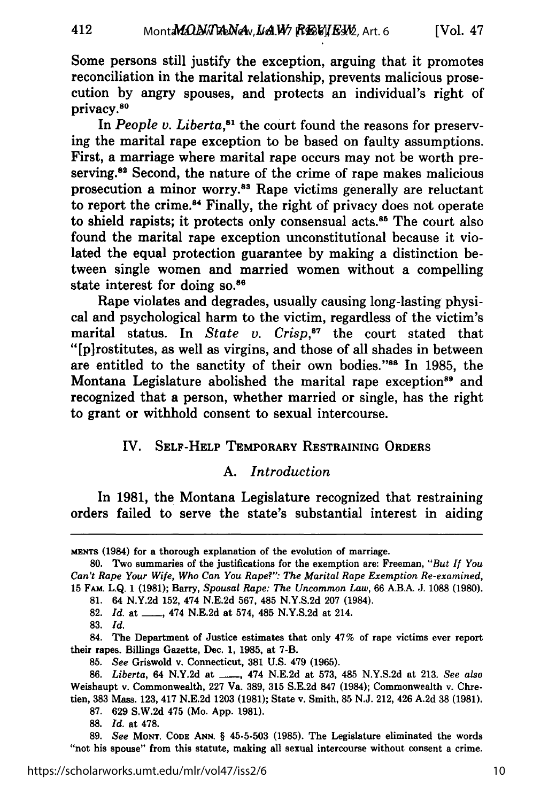Some persons still justify the exception, arguing that it promotes reconciliation in the marital relationship, prevents malicious prosecution by angry spouses, and protects an individual's right of privacy.80

In *People v. Liberta*,<sup>81</sup> the court found the reasons for preserving the marital rape exception to be based on faulty assumptions. First, a marriage where marital rape occurs may not be worth preserving.<sup>82</sup> Second, the nature of the crime of rape makes malicious prosecution a minor worry.83 Rape victims generally are reluctant to report the crime.<sup>84</sup> Finally, the right of privacy does not operate to shield rapists; it protects only consensual **acts.85** The court also found the marital rape exception unconstitutional because it violated the equal protection guarantee by making a distinction between single women and married women without a compelling state interest for doing so.<sup>86</sup>

Rape violates and degrades, usually causing long-lasting physical and psychological harm to the victim, regardless of the victim's marital status. In *State v. Crisp*,<sup>87</sup> the court stated that "[pirostitutes, as well as virgins, and those of all shades in between are entitled to the sanctity of their own bodies."<sup>88</sup> In 1985, the Montana Legislature abolished the marital rape exception<sup>89</sup> and recognized that a person, whether married or single, has the right to grant or withhold consent to sexual intercourse.

## IV. **SELF-HELP** TEMPORARY RESTRAINING ORDERS

## *A. Introduction*

In 1981, the Montana Legislature recognized that restraining orders failed to serve the state's substantial interest in aiding

MENTS (1984) for a thorough explanation of the evolution of marriage.

**80.** Two summaries of the justifications for the exemption are: Freeman, *"But If You Can't Rape Your Wife, Who Can You Rape?": The Marital Rape Exemption Re-examined,* 15 FAM. L.Q. 1 (1981); Barry, *Spousal Rape: The Uncommon Law,* 66 A.B.A. J. **1088 (1980).**

**81.** 64 N.Y.2d 152, 474 N.E.2d 567, 485 N.Y.S.2d **207** (1984).

82. *Id.* at \_\_\_, 474 N.E.2d at 574, 485 N.Y.S.2d at 214.

**83.** *Id.*

84. The Department of Justice estimates that only 47% of rape victims ever report their rapes. Billings Gazette, Dec. **1, 1985,** at **7-B.**

**85.** *See* Griswold v. Connecticut, **381 U.S.** 479 **(1965).**

**86.** *Liberta,* 64 **N.Y.2d** at **- ,** 474 **N.E.2d** at **573,** 485 **N.Y.S.2d** at **213.** *See also* Weishaupt v. Commonwealth, **227** Va. **389, 315 S.E.2d 847** (1984); Commonwealth v. Chretien, **383** Mass. **123,** 417 **N.E.2d 1203 (1981);** State v. Smith, **85 N.J.** 212, 426 **A.2d 38 (1981).**

**87. 629 S.W.2d** 475 (Mo. **App. 1981).**

**88.** *Id.* at **478.**

**89.** *See* MoNT. **CODE ANN.** § **45-5-503 (1985).** The Legislature eliminated the words "not his spouse" from this statute, making all sexual intercourse without consent a crime.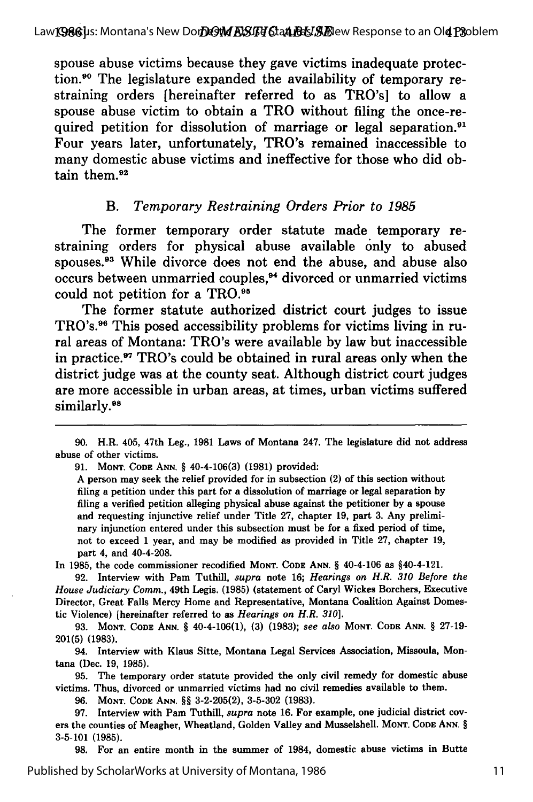spouse abuse victims because they gave victims inadequate protection.<sup>90</sup> The legislature expanded the availability of temporary restraining orders [hereinafter referred to as TRO's] to allow a spouse abuse victim to obtain a TRO without filing the once-required petition for dissolution of marriage or legal separation.<sup>91</sup> Four years later, unfortunately, TRO's remained inaccessible to many domestic abuse victims and ineffective for those who did obtain them.<sup>92</sup>

## *B. Temporary Restraining Orders Prior to 1985*

The former temporary order statute made temporary restraining orders for physical abuse available only to abused spouses.<sup>93</sup> While divorce does not end the abuse, and abuse also occurs between unmarried couples,<sup>94</sup> divorced or unmarried victims could not petition for a TRO.<sup>95</sup>

The former statute authorized district court judges to issue TRO's.<sup>96</sup> This posed accessibility problems for victims living in rural areas of Montana: TRO's were available **by** law but inaccessible in practice.<sup>97</sup> TRO's could be obtained in rural areas only when the district judge was at the county seat. Although district court judges are more accessible in urban areas, at times, urban victims suffered similarly.<sup>98</sup>

**91. MONT. CODE ANN.** § 40-4-106(3) (1981) provided:

A person may seek the relief provided for in subsection (2) of this section without filing a petition under this part for a dissolution of marriage or legal separation by filing a verified petition alleging physical abuse against the petitioner by a spouse and requesting injunctive relief under Title 27, chapter 19, part 3. Any preliminary injunction entered under this subsection must be for a fixed period of time, not to exceed 1 year, and may be modified as provided in Title 27, chapter 19, part 4, and 40-4-208.

In **1985,** the code commissioner recodified **MONT. CODE ANN.** § 40-4-106 as §40-4-121.

**92.** Interview with Pam Tuthill, *supra* note **16;** *Hearings on H.R. 310 Before the House Judiciary Comm.,* 49th Legis. **(1985)** (statement of Caryl Wickes Borchers, Executive Director, Great Falls Mercy Home and Representative, Montana Coalition Against Domestic Violence) [hereinafter referred to as *Hearings on H.R. 310].*

**93. MONT. CODE ANN.** § 40-4-106(1), **(3) (1983);** *see also* **MONT. CODE ANN.** § **27-19- 201(5) (1983).**

94. Interview with Klaus Sitte, Montana Legal Services Association, Missoula, Montana (Dec. **19, 1985).**

**95.** The temporary order statute provided the only civil remedy for domestic abuse victims. Thus, divorced or unmarried victims had no civil remedies available to them.

**96. MONT. CODE ANN.** §§ **3-2-205(2), 3-5-302 (1983).**

**97.** Interview with Pam Tuthill, *supra* note **16.** For example, one judicial district covers the counties of Meagher, Wheatland, Golden Valley and Musselshell. **MONT. CODE ANN.** § **3-5-101 (1985).**

**98.** For an entire month in the summer of 1984, domestic abuse victims in Butte

<sup>90.</sup> H.R. 405, 47th Leg., 1981 Laws of Montana 247. The legislature did not address abuse of other victims.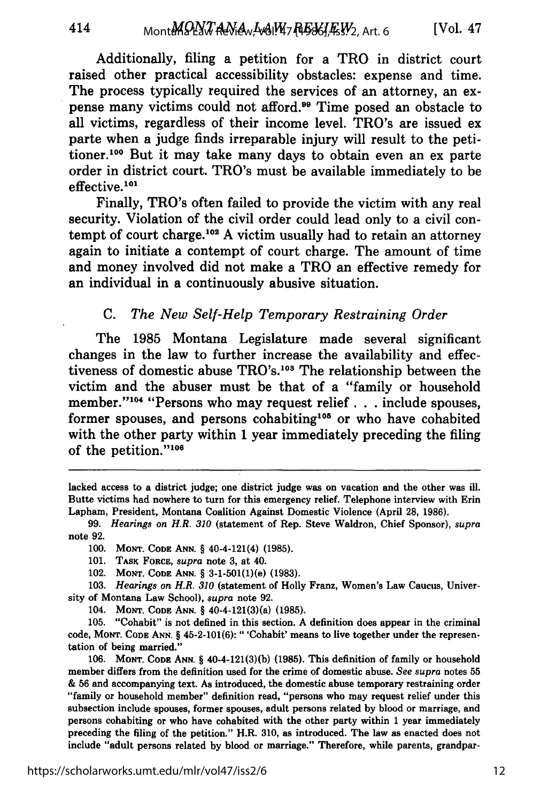Additionally, filing a petition for a TRO in district court raised other practical accessibility obstacles: expense and time. The process typically required the services of an attorney, an expense many victims could not afford.99 Time posed an obstacle to all victims, regardless of their income level. TRO's are issued ex parte when a judge finds irreparable injury will result to the petitioner.100 But it may take many days to obtain even an ex parte order in district court. TRO's must be available immediately to be effective.<sup>101</sup>

Finally, TRO's often failed to provide the victim with any real security. Violation of the civil order could lead only to a civil contempt of court charge.<sup>102</sup> A victim usually had to retain an attorney again to initiate a contempt of court charge. The amount of time and money involved did not make a TRO an effective remedy for an individual in a continuously abusive situation.

## *C. The New Self-Help Temporary Restraining Order*

The **1985** Montana Legislature made several significant changes in the law to further increase the availability and effectiveness of domestic abuse TRO's.<sup>103</sup> The relationship between the victim and the abuser must be that of a "family or household member."<sup>104</sup> "Persons who may request relief... include spouses, former spouses, and persons cohabiting<sup>105</sup> or who have cohabited with the other party within **1** year immediately preceding the filing of the petition."<sup>106</sup>

414

lacked access to a district judge; one district judge was on vacation and the other was ill. Butte victims had nowhere to turn for this emergency relief. Telephone interview with Erin Lapham, President, Montana Coalition Against Domestic Violence (April **28, 1986).**

**<sup>99.</sup>** *Hearings on H.R. 310* (statement of Rep. Steve Waldron, Chief Sponsor), *supra* note **92.**

**<sup>100.</sup>** MONT. **CODE ANN.** § 40-4-121(4) **(1985).**

**<sup>101.</sup> TASK** FORCE, *supra* note **3,** at 40.

<sup>102.</sup> **MONT. CODE ANN.** § 3-1-501(1)(e) **(1983).**

**<sup>103.</sup>** *Hearings on H.R. 310* (statement of Holly Franz, Women's Law Caucus, University of Montana Law School), *supra* note **92.**

<sup>104.</sup> **MONT. CODE ANN.** § 40-4-121(3)(a) **(1985).**

**<sup>105.</sup>** "Cohabit" is not defined in this section. **A** definition does appear in the criminal code, **MONT. CODE ANN.** § 45-2-101(6): "'Cohabit' means to live together under the representation of being married."

**<sup>106.</sup> MONT. CODE ANN.** § 40-4-121(3)(b) **(1985).** This definition of family or household member differs from the definition used for the crime of domestic abuse. *See supra* notes **55 & 56** and accompanying text. As introduced, the domestic abuse temporary restraining order "family or household member" definition read, "persons who may request relief under this subsection include spouses, former spouses, adult persons related **by** blood or marriage, and persons cohabiting or who have cohabited with the other party within **1** year immediately preceding the filing of the petition." H.R. **310,** as introduced. The law as enacted does not include "adult persons related **by** blood or marriage." Therefore, while parents, grandpar-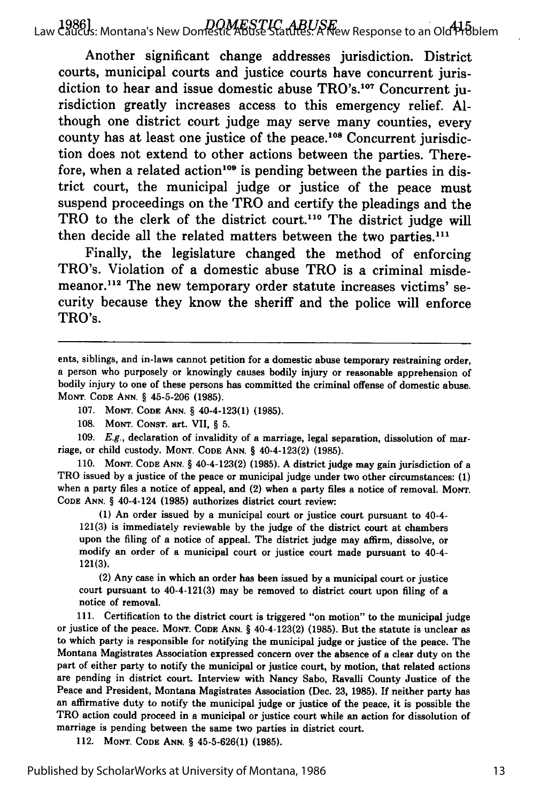1986] *DOMESTIC ABUSE* Law Caucus: Montana's New Domestic Abuse Statutes: A New Response to an Old Problem

Another significant change addresses jurisdiction. District courts, municipal courts and justice courts have concurrent jurisdiction to hear and issue domestic abuse TRO's.<sup>107</sup> Concurrent jurisdiction greatly increases access to this emergency relief. **Al**though one district court judge may serve many counties, every county has at least one justice of the peace.<sup>108</sup> Concurrent jurisdiction does not extend to other actions between the parties. Therefore, when a related action<sup>109</sup> is pending between the parties in district court, the municipal judge or justice of the peace must suspend proceedings on the TRO and certify the pleadings and the TRO to the clerk of the district court.<sup>110</sup> The district judge will then decide all the related matters between the two parties.<sup>111</sup>

Finally, the legislature changed the method of enforcing TRO's. Violation of a domestic abuse TRO is a criminal misdemeanor.<sup>112</sup> The new temporary order statute increases victims' security because they know the sheriff and the police will enforce TRO's.

107. **MONT. CODE ANN.** § 40-4-123(1) (1985).

109. E.g., declaration of invalidity of a marriage, legal separation, dissolution of marriage, or child custody. **MONT. CODE ANN.** § 40-4-123(2) (1985).

110. **MONT. CODE ANN.** § 40-4-123(2) (1985). A district judge may gain jurisdiction of a TRO issued by a justice of the peace or municipal judge under two other circumstances: **(1)** when a party files a notice of appeal, and (2) when a party files a notice of removal. MONT. **CODE ANN.** § 40-4-124 **(1985)** authorizes district court review:

**(1)** An order issued **by** a municipal court or justice court pursuant to 40-4- **121(3)** is immediately reviewable **by** the judge of the district court at chambers upon the filing of a notice of appeal. The district judge may affirm, dissolve, or modify an order of a municipal court or justice court made pursuant to 40-4- **121(3).**

(2) Any case in which an order has been issued **by** a municipal court or justice court pursuant to 40-4-121(3) may be removed to district court upon filing of a notice of removal.

**111.** Certification to the district court is triggered "on motion" to the municipal judge or justice of the peace. **MONT. CODE ANN.** § 40-4-123(2) (1985). But the statute is unclear as to which party is responsible for notifying the municipal judge or justice of the peace. The Montana Magistrates Association expressed concern over the absence of a clear duty on the part of either party to notify the municipal or justice court, **by** motion, that related actions are pending in district court. Interview with Nancy Sabo, Ravalli County Justice of the Peace and President, Montana Magistrates Association (Dec. **23, 1985). If** neither party has an affirmative duty to notify the municipal judge or justice of the peace, it is possible the TRO action could proceed in a municipal or justice court while an action for dissolution of marriage is pending between the same two parties in district court.

112. **MONT. CODE ANN.** § **45-5-626(1) (1985).**

ents, siblings, and in-laws cannot petition for a domestic abuse temporary restraining order, a person who purposely or knowingly causes bodily injury or reasonable apprehension of bodily injury to one of these persons has committed the criminal offense of domestic abuse. **MONT. CODE ANN.** § 45-5-206 (1985).

**<sup>108.</sup> MONT.** CONST. art. VII, § 5.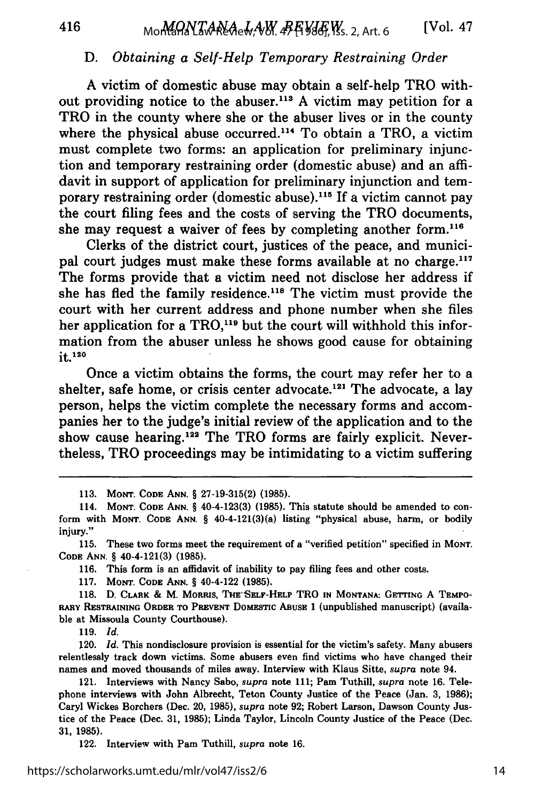## D. *Obtaining a Self-Help Temporary Restraining Order*

A victim of domestic abuse may obtain a self-help TRO without providing notice to the abuser.<sup>113</sup> A victim may petition for a TRO in the county where she or the abuser lives or in the county where the physical abuse occurred.<sup>114</sup> To obtain a TRO, a victim must complete two forms: an application for preliminary injunction and temporary restraining order (domestic abuse) and an affidavit in support of application for preliminary injunction and temporary restraining order (domestic abuse).<sup>115</sup> If a victim cannot pay the court filing fees and the costs of serving the TRO documents, she may request a waiver of fees by completing another form.<sup>116</sup>

Clerks of the district court, justices of the peace, and municipal court judges must make these forms available at no charge.<sup>117</sup> The forms provide that a victim need not disclose her address if she has fled the family residence.<sup>118</sup> The victim must provide the court with her current address and phone number when she files her application for a  $TRO<sub>119</sub>$  but the court will withhold this information from the abuser unless he shows good cause for obtaining it. <sup>120</sup>

Once a victim obtains the forms, the court may refer her to a shelter, safe home, or crisis center advocate.<sup>121</sup> The advocate, a lay person, helps the victim complete the necessary forms and accompanies her to the judge's initial review of the application and to the show cause hearing.<sup>122</sup> The TRO forms are fairly explicit. Nevertheless, TRO proceedings may be intimidating to a victim suffering

**113. MONT. CODE ANN.** § **27-19-315(2) (1985).**

**115.** These two forms meet the requirement of a "verified petition" specified in **MONT. CODE ANN.** § 40-4-121(3) **(1985).**

**116.** This form is an affidavit of inability to pay filing fees and other costs.

**117. MONT. CODE ANN.** § 40-4-122 **(1985).**

118. D. **CLARK &** M. **MORRIS, THE-SELF-HELP** TRO **IN MONTANA: GETTING A TEMPO-RARY RESTRAINING ORDER TO PREvENT** DoMEsTIc **ABUSE 1** (unpublished manuscript) (available at Missoula County Courthouse).

**119.** *Id.*

120. *Id.* This nondisclosure provision is essential for the victim's safety. Many abusers relentlessly track down victims. Some abusers even find victims who have changed their names and moved thousands of miles away. Interview with Klaus Sitte, *supra* note 94.

121. Interviews with Nancy Sabo, *supra* note **111;** Pam Tuthill, *supra* note **16.** Telephone interviews with John Albrecht, Teton County Justice of the Peace (Jan. **3, 1986);** Caryl Wickes Borchers (Dec. 20, **1985),** *supra* note **92;** Robert Larson, Dawson County Justice of the Peace (Dec. **31, 1985);** Linda Taylor, Lincoln County Justice of the Peace (Dec. **31, 1985).**

122. Interview with Pam Tuthill, *supra* note **16.**

14

<sup>114.</sup> **MONT. CODE ANN.** § 40-4-123(3) **(1985).** This statute should be amended to conform with MONT. **CODE ANN.** § 40-4-121(3)(a) listing "physical abuse, harm, or bodily injury."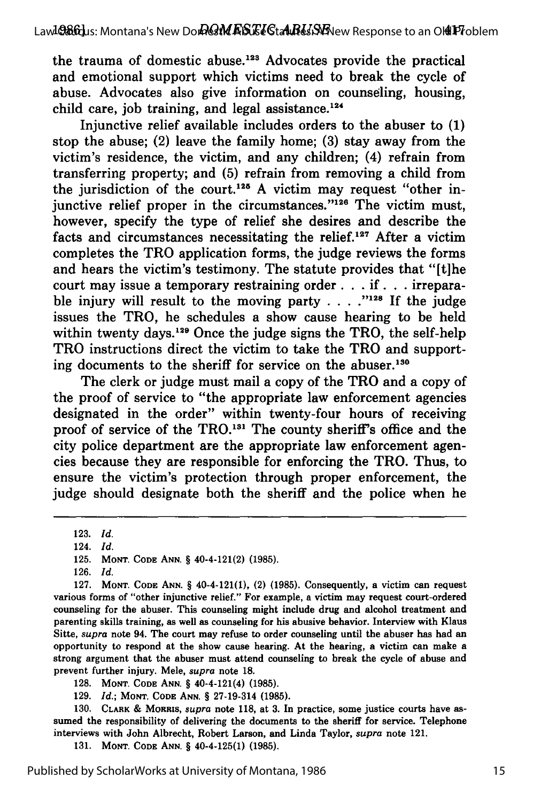the trauma of domestic abuse. $123$  Advocates provide the practical and emotional support which victims need to break the cycle of abuse. Advocates also give information on counseling, housing, child care, job training, and legal assistance. $124$ 

Injunctive relief available includes orders to the abuser to (1) stop the abuse; (2) leave the family home; (3) stay away from the victim's residence, the victim, and any children; (4) refrain from transferring property; and (5) refrain from removing a child from the jurisdiction of the court.<sup>125</sup> A victim may request "other injunctive relief proper in the circumstances."<sup>126</sup> The victim must, however, specify the type of relief she desires and describe the facts and circumstances necessitating the relief.<sup>127</sup> After a victim completes the TRO application forms, the judge reviews the forms and hears the victim's testimony. The statute provides that "[t]he court may issue a temporary restraining order **. . . if. .** . irreparable injury will result to the moving party  $\ldots$   $\ldots$  <sup>128</sup> If the judge issues the TRO, he schedules a show cause hearing to be held within twenty days.<sup>129</sup> Once the judge signs the TRO, the self-help TRO instructions direct the victim to take the TRO and supporting documents to the sheriff for service on the abuser.<sup>130</sup>

The clerk or judge must mail a copy of the TRO and a copy of the proof of service to "the appropriate law enforcement agencies designated in the order" within twenty-four hours of receiving proof of service of the TRO.<sup>131</sup> The county sheriff's office and the city police department are the appropriate law enforcement agencies because they are responsible for enforcing the TRO. Thus, to ensure the victim's protection through proper enforcement, the judge should designate both the sheriff and the police when he

**130. CLARK & MoRRIs,** *supra* note **118,** at **3.** In practice, some justice courts have assumed the responsibility of delivering the documents to the sheriff for service. Telephone interviews with John Albrecht, Robert Larson, and Linda Taylor, *supra* note 121.

**131. MONT. CODE ANN.** § 40-4-125(1) **(1985).**

<sup>123.</sup> *Id.*

<sup>124.</sup> *Id.*

<sup>125.</sup> **MONT. CODE ANN.** § 40-4-121(2) **(1985).**

<sup>126.</sup> *Id.*

<sup>127.</sup> **MONT. CODE ANN.** § 40-4-121(1), (2) (1985). Consequently, a victim can request various forms of "other injunctive relief." For example, a victim may request court-ordered counseling for the abuser. This counseling might include drug and alcohol treatment and parenting skills training, as well as counseling for his abusive behavior. Interview with Klaus Sitte, *supra* note 94. The court may refuse to order counseling until the abuser has had an opportunity to respond at the show cause hearing. At the hearing, a victim can make a strong argument that the abuser must attend counseling to break the cycle of abuse and prevent further injury. Mele, *supra* note **18.**

**<sup>128.</sup> MONT. CODE ANN.** § 40-4-121(4) **(1985).**

**<sup>129.</sup>** *Id.;* **MONT. CODE ANN.** § **27-19-314 (1985).**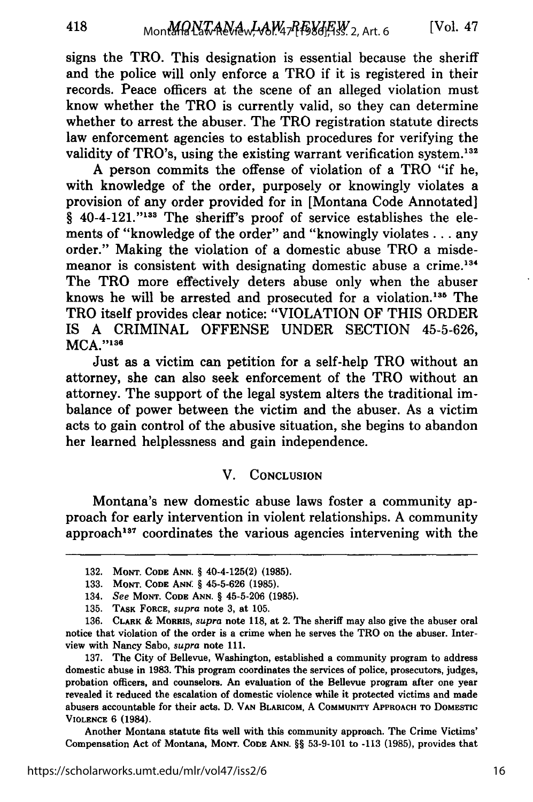signs the TRO. This designation is essential because the sheriff and the police will only enforce a TRO if it is registered in their records. Peace officers at the scene of an alleged violation must know whether the TRO is currently valid, so they can determine whether to arrest the abuser. The TRO registration statute directs law enforcement agencies to establish procedures for verifying the validity of TRO's, using the existing warrant verification system.<sup>132</sup>

A person commits the offense of violation of a TRO "if he, with knowledge of the order, purposely or knowingly violates a provision of any order provided for in [Montana Code Annotated] § 40-4-121."<sup>133</sup> The sheriff's proof of service establishes the elements of "knowledge of the order" and "knowingly violates... any order." Making the violation of a domestic abuse TRO a misdemeanor is consistent with designating domestic abuse a crime.<sup>134</sup> The TRO more effectively deters abuse only when the abuser knows he will be arrested and prosecuted for a violation.<sup>135</sup> The TRO itself provides clear notice: "VIOLATION OF THIS ORDER IS A CRIMINAL OFFENSE UNDER SECTION 45-5-626, MCA."136

Just as a victim can petition for a self-help TRO without an attorney, she can also seek enforcement of the TRO without an attorney. The support of the legal system alters the traditional imbalance of power between the victim and the abuser. As a victim acts to gain control of the abusive situation, she begins to abandon her learned helplessness and gain independence.

## V. **CONCLUSION**

Montana's new domestic abuse laws foster a community approach for early intervention in violent relationships. A community approach<sup>137</sup> coordinates the various agencies intervening with the

Another Montana statute fits well with this community approach. The Crime Victims' Compensation Act of Montana, **MONT. CODE ANN.** §§ 53-9-101 to -113 (1985), provides that

<sup>132.</sup> **MONT. CODE ANN.** § 40-4-125(2) **(1985).**

**<sup>133.</sup> MONT. CODE ANN.** § **45-5-626 (1985).**

<sup>134.</sup> See **MONT. CODE ANN.** § **45-5-206 (1985).**

**<sup>135.</sup> TASK FORCE,** *supra* note **3,** at **105.**

<sup>136.</sup> **CLARK & MORRIS,** *supra* **note 118,** at 2. The sheriff may also give the abuser oral notice that violation of the order is a crime when he serves the TRO on the abuser. Interview with Nancy Sabo, *supra* note **111.**

**<sup>137.</sup>** The City of Bellevue, Washington, established a community program to address domestic abuse in **1983.** This program coordinates the services of police, prosecutors, judges, probation officers, and counselors. An evaluation of the Bellevue program after one year revealed it reduced the escalation of domestic violence while it protected victims and made abusers accountable for their acts. D. **VAN BLARICOM, A COMMUNITY APPROACH** TO **DOMESTIC VIOLENCE** 6 (1984).